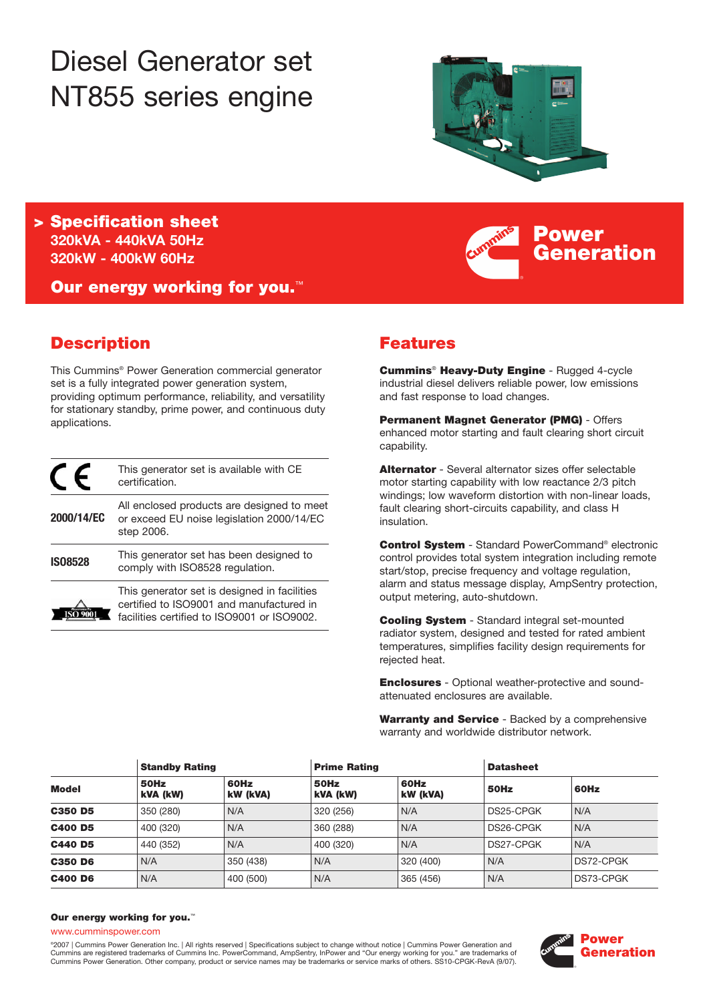# Diesel Generator set NT855 series engine



**Power**

**Generation**

**> Specification sheet 320kVA - 440kVA 50Hz 320kW - 400kW 60Hz**

**Our energy working for you.**™

# **Description**

This Cummins® Power Generation commercial generator set is a fully integrated power generation system, providing optimum performance, reliability, and versatility for stationary standby, prime power, and continuous duty applications.

|                | This generator set is available with CE<br>certification.                                                                               |
|----------------|-----------------------------------------------------------------------------------------------------------------------------------------|
| 2000/14/EC     | All enclosed products are designed to meet<br>or exceed EU noise legislation 2000/14/EC<br>step 2006.                                   |
| <b>IS08528</b> | This generator set has been designed to<br>comply with ISO8528 regulation.                                                              |
|                | This generator set is designed in facilities<br>certified to ISO9001 and manufactured in<br>facilities certified to ISO9001 or ISO9002. |

# **Features**

**Cummins**® **Heavy-Duty Engine** - Rugged 4-cycle industrial diesel delivers reliable power, low emissions and fast response to load changes.

**Permanent Magnet Generator (PMG)** - Offers enhanced motor starting and fault clearing short circuit capability.

**Alternator** - Several alternator sizes offer selectable motor starting capability with low reactance 2/3 pitch windings; low waveform distortion with non-linear loads, fault clearing short-circuits capability, and class H insulation.

**Control System** - Standard PowerCommand® electronic control provides total system integration including remote start/stop, precise frequency and voltage regulation, alarm and status message display, AmpSentry protection, output metering, auto-shutdown.

**Cooling System** - Standard integral set-mounted radiator system, designed and tested for rated ambient temperatures, simplifies facility design requirements for rejected heat.

**Enclosures** - Optional weather-protective and soundattenuated enclosures are available.

**Warranty and Service** - Backed by a comprehensive warranty and worldwide distributor network.

| <b>Model</b>   | <b>Standby Rating</b> |                  |                  | <b>Prime Rating</b> |           | <b>Datasheet</b> |  |
|----------------|-----------------------|------------------|------------------|---------------------|-----------|------------------|--|
|                | 50Hz<br>kVA (kW)      | 60Hz<br>kW (kVA) | 50Hz<br>kVA (kW) | 60Hz<br>kW (kVA)    | 50Hz      | 60Hz             |  |
| <b>C350 D5</b> | 350 (280)             | N/A              | 320 (256)        | N/A                 | DS25-CPGK | N/A              |  |
| <b>C400 D5</b> | 400 (320)             | N/A              | 360 (288)        | N/A                 | DS26-CPGK | N/A              |  |
| <b>C440 D5</b> | 440 (352)             | N/A              | 400 (320)        | N/A                 | DS27-CPGK | N/A              |  |
| <b>C350 D6</b> | N/A                   | 350 (438)        | N/A              | 320 (400)           | N/A       | DS72-CPGK        |  |
| <b>C400 D6</b> | N/A                   | 400 (500)        | N/A              | 365 (456)           | N/A       | DS73-CPGK        |  |

#### **Our energy working for you.**™

www.cumminspower.com

°2007 | Cummins Power Generation Inc. | All rights reserved | Specifications subject to change without notice | Cummins Power Generation and<br>Cummins are registered trademarks of Cummins Inc. PowerCommand, AmpSentry, InPow Cummins Power Generation. Other company, product or service names may be trademarks or service marks of others. SS10-CPGK-RevA (9/07).

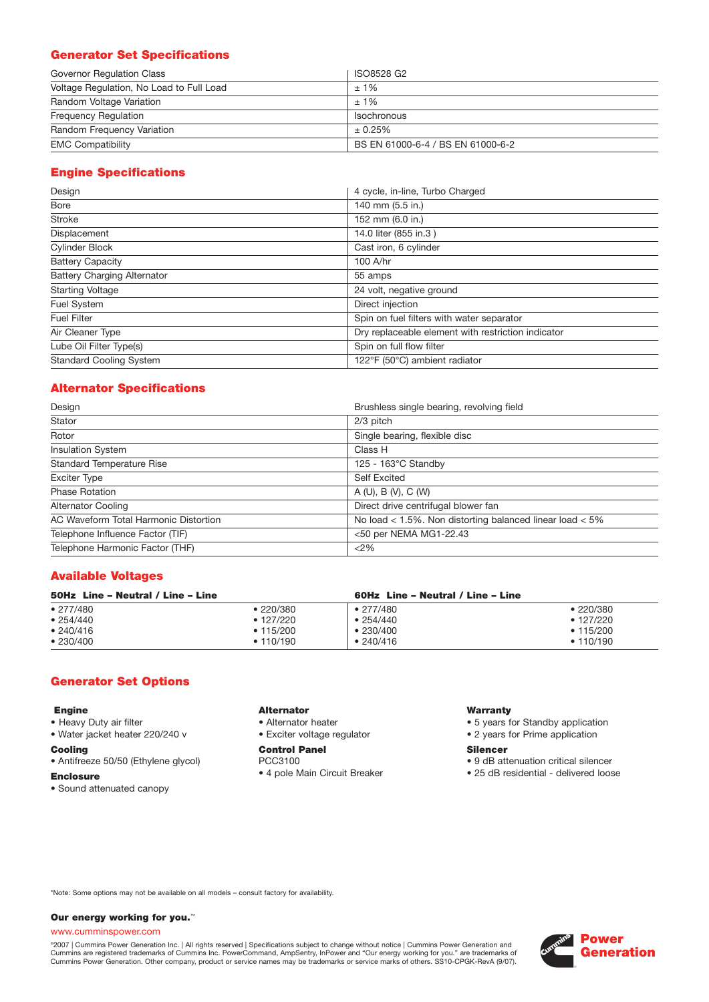# **Generator Set Specifications**

| Governor Regulation Class                | ISO8528 G2                        |
|------------------------------------------|-----------------------------------|
| Voltage Regulation, No Load to Full Load | $±1\%$                            |
| Random Voltage Variation                 | $±1\%$                            |
| <b>Frequency Requiation</b>              | <b>Isochronous</b>                |
| Random Frequency Variation               | ± 0.25%                           |
| <b>EMC Compatibility</b>                 | BS EN 61000-6-4 / BS EN 61000-6-2 |

# **Engine Specifications**

| Design                             | 4 cycle, in-line, Turbo Charged                    |
|------------------------------------|----------------------------------------------------|
| <b>Bore</b>                        | 140 mm (5.5 in.)                                   |
| <b>Stroke</b>                      | 152 mm (6.0 in.)                                   |
| Displacement                       | 14.0 liter (855 in.3)                              |
| <b>Cylinder Block</b>              | Cast iron, 6 cylinder                              |
| <b>Battery Capacity</b>            | 100 A/hr                                           |
| <b>Battery Charging Alternator</b> | 55 amps                                            |
| <b>Starting Voltage</b>            | 24 volt, negative ground                           |
| Fuel System                        | Direct injection                                   |
| <b>Fuel Filter</b>                 | Spin on fuel filters with water separator          |
| Air Cleaner Type                   | Dry replaceable element with restriction indicator |
| Lube Oil Filter Type(s)            | Spin on full flow filter                           |
| <b>Standard Cooling System</b>     | 122°F (50°C) ambient radiator                      |

# **Alternator Specifications**

| Design                                | Brushless single bearing, revolving field                    |
|---------------------------------------|--------------------------------------------------------------|
| Stator                                | 2/3 pitch                                                    |
| Rotor                                 | Single bearing, flexible disc                                |
| Insulation System                     | Class H                                                      |
| <b>Standard Temperature Rise</b>      | 125 - 163°C Standby                                          |
| <b>Exciter Type</b>                   | <b>Self Excited</b>                                          |
| <b>Phase Rotation</b>                 | A(U), B(V), C(W)                                             |
| <b>Alternator Cooling</b>             | Direct drive centrifugal blower fan                          |
| AC Waveform Total Harmonic Distortion | No load $<$ 1.5%. Non distorting balanced linear load $<$ 5% |
| Telephone Influence Factor (TIF)      | <50 per NEMA MG1-22.43                                       |
| Telephone Harmonic Factor (THF)       | <2%                                                          |

## **Available Voltages**

| 50Hz Line - Neutral / Line - Line |                   | 60Hz Line - Neutral / Line - Line |                   |
|-----------------------------------|-------------------|-----------------------------------|-------------------|
| • 277/480                         | •220/380          | $\bullet$ 277/480                 | •220/380          |
| • 254/440                         | $\bullet$ 127/220 | • 254/440                         | $\bullet$ 127/220 |
| • 240/416                         | • 115/200         | •230/400                          | • 115/200         |
| •230/400                          | • 110/190         | •740/416                          | • 110/190         |

## **Generator Set Options**

#### **Engine**

- Heavy Duty air filter
- Water jacket heater 220/240 v

#### **Cooling**

- Antifreeze 50/50 (Ethylene glycol)
- **Enclosure**
- Sound attenuated canopy

#### **Alternator**

- Alternator heater
- Exciter voltage regulator

#### **Control Panel** PCC3100

• 4 pole Main Circuit Breaker

#### **Warranty**

- 5 years for Standby application
- 2 years for Prime application

#### **Silencer**

- 9 dB attenuation critical silencer
- 25 dB residential delivered loose

\*Note: Some options may not be available on all models – consult factory for availability.

#### **Our energy working for you.**™

#### www.cumminspower.com

°2007 | Cummins Power Generation Inc. | All rights reserved | Specifications subject to change without notice | Cummins Power Generation and<br>Cummins are registered trademarks of Cummins Inc. PowerCommand, AmpSentry, InPow

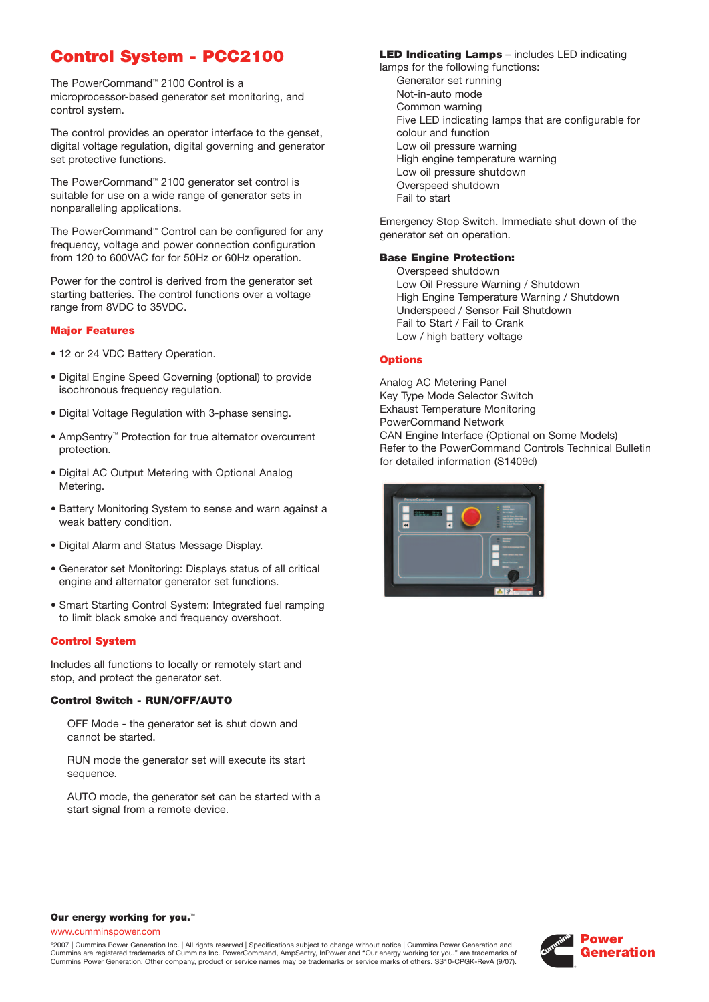# **Control System - PCC2100**

The PowerCommand™ 2100 Control is a microprocessor-based generator set monitoring, and control system.

The control provides an operator interface to the genset, digital voltage regulation, digital governing and generator set protective functions.

The PowerCommand™ 2100 generator set control is suitable for use on a wide range of generator sets in nonparalleling applications.

The PowerCommand™ Control can be configured for any frequency, voltage and power connection configuration from 120 to 600VAC for for 50Hz or 60Hz operation.

Power for the control is derived from the generator set starting batteries. The control functions over a voltage range from 8VDC to 35VDC.

#### **Major Features**

- 12 or 24 VDC Battery Operation.
- Digital Engine Speed Governing (optional) to provide isochronous frequency regulation.
- Digital Voltage Regulation with 3-phase sensing.
- AmpSentry™ Protection for true alternator overcurrent protection.
- Digital AC Output Metering with Optional Analog Metering.
- Battery Monitoring System to sense and warn against a weak battery condition.
- Digital Alarm and Status Message Display.
- Generator set Monitoring: Displays status of all critical engine and alternator generator set functions.
- Smart Starting Control System: Integrated fuel ramping to limit black smoke and frequency overshoot.

#### **Control System**

Includes all functions to locally or remotely start and stop, and protect the generator set.

#### **Control Switch - RUN/OFF/AUTO**

OFF Mode - the generator set is shut down and cannot be started.

RUN mode the generator set will execute its start sequence.

AUTO mode, the generator set can be started with a start signal from a remote device.

### **LED Indicating Lamps** – includes LED indicating

lamps for the following functions: Generator set running Not-in-auto mode Common warning Five LED indicating lamps that are configurable for colour and function Low oil pressure warning High engine temperature warning Low oil pressure shutdown Overspeed shutdown Fail to start

Emergency Stop Switch. Immediate shut down of the generator set on operation.

#### **Base Engine Protection:**

Overspeed shutdown Low Oil Pressure Warning / Shutdown High Engine Temperature Warning / Shutdown Underspeed / Sensor Fail Shutdown Fail to Start / Fail to Crank Low / high battery voltage

#### **Options**

Analog AC Metering Panel Key Type Mode Selector Switch Exhaust Temperature Monitoring PowerCommand Network CAN Engine Interface (Optional on Some Models) Refer to the PowerCommand Controls Technical Bulletin for detailed information (S1409d)



#### **Our energy working for you.**™

www.cumminspower.com

©2007 | Cummins Power Generation Inc. | All rights reserved | Specifications subject to change without notice | Cummins Power Generation and Cummins are registered trademarks of Cummins Inc. PowerCommand, AmpSentry, InPower and "Our energy working for you." are trademarks of Cummins Power Generation. Other company, product or service names may be trademarks or service marks of others. SS10-CPGK-RevA (9/07).